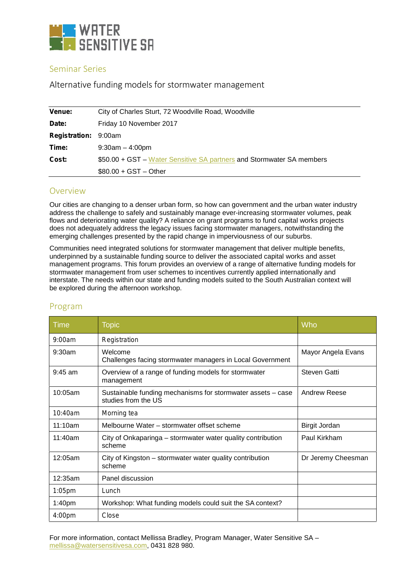

# Seminar Series

**Alternative funding models for stormwater management**

| Venue:               | City of Charles Sturt, 72 Woodville Road, Woodville                   |  |
|----------------------|-----------------------------------------------------------------------|--|
| Date:                | Friday 10 November 2017                                               |  |
| <b>Registration:</b> | 9:00am                                                                |  |
| Time:                | $9:30am - 4:00pm$                                                     |  |
| Cost:                | \$50.00 + GST – Water Sensitive SA partners and Stormwater SA members |  |
|                      | $$80.00 + GST - Other$                                                |  |

# Overview

Our cities are changing to a denser urban form, so how can government and the urban water industry address the challenge to safely and sustainably manage ever-increasing stormwater volumes, peak flows and deteriorating water quality? A reliance on grant programs to fund capital works projects does not adequately address the legacy issues facing stormwater managers, notwithstanding the emerging challenges presented by the rapid change in imperviousness of our suburbs.

Communities need integrated solutions for stormwater management that deliver multiple benefits, underpinned by a sustainable funding source to deliver the associated capital works and asset management programs. This forum provides an overview of a range of alternative funding models for stormwater management from user schemes to incentives currently applied internationally and interstate. The needs within our state and funding models suited to the South Australian context will be explored during the afternoon workshop.

| Time               | <b>Topic</b>                                                                       | Who                  |
|--------------------|------------------------------------------------------------------------------------|----------------------|
| 9:00am             | Registration                                                                       |                      |
| 9:30am             | Welcome<br>Challenges facing stormwater managers in Local Government               | Mayor Angela Evans   |
| $9:45$ am          | Overview of a range of funding models for stormwater<br>management                 | <b>Steven Gatti</b>  |
| 10:05am            | Sustainable funding mechanisms for stormwater assets – case<br>studies from the US | Andrew Reese         |
| 10:40am            | Morning tea                                                                        |                      |
| 11:10am            | Melbourne Water – stormwater offset scheme                                         | <b>Birgit Jordan</b> |
| 11:40am            | City of Onkaparinga – stormwater water quality contribution<br>scheme              | Paul Kirkham         |
| 12:05am            | City of Kingston – stormwater water quality contribution<br>scheme                 | Dr Jeremy Cheesman   |
| 12:35am            | Panel discussion                                                                   |                      |
| $1:05$ pm          | Lunch                                                                              |                      |
| 1:40 <sub>pm</sub> | Workshop: What funding models could suit the SA context?                           |                      |
| 4:00 <sub>pm</sub> | Close                                                                              |                      |

# Program

For more information, contact Mellissa Bradley, Program Manager, Water Sensitive SA – mellissa@watersensitivesa.com, 0431 828 980.